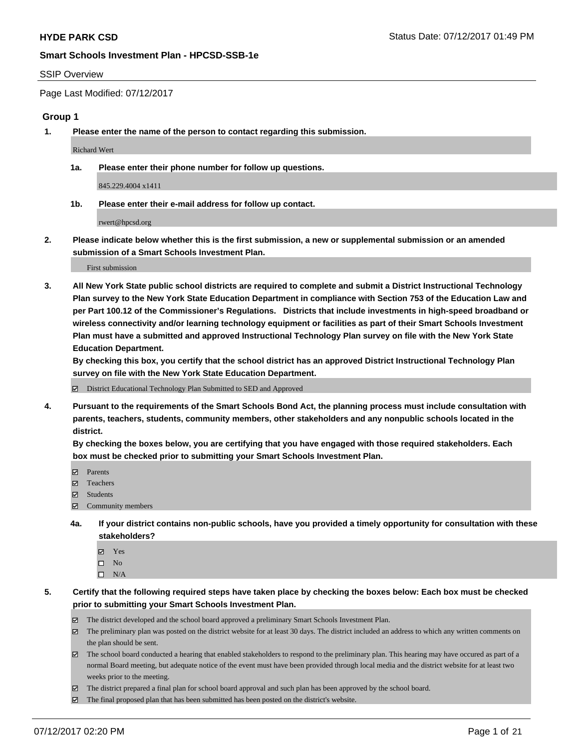#### SSIP Overview

Page Last Modified: 07/12/2017

#### **Group 1**

**1. Please enter the name of the person to contact regarding this submission.**

Richard Wert

**1a. Please enter their phone number for follow up questions.**

845.229.4004 x1411

**1b. Please enter their e-mail address for follow up contact.**

rwert@hpcsd.org

**2. Please indicate below whether this is the first submission, a new or supplemental submission or an amended submission of a Smart Schools Investment Plan.**

First submission

**3. All New York State public school districts are required to complete and submit a District Instructional Technology Plan survey to the New York State Education Department in compliance with Section 753 of the Education Law and per Part 100.12 of the Commissioner's Regulations. Districts that include investments in high-speed broadband or wireless connectivity and/or learning technology equipment or facilities as part of their Smart Schools Investment Plan must have a submitted and approved Instructional Technology Plan survey on file with the New York State Education Department.** 

**By checking this box, you certify that the school district has an approved District Instructional Technology Plan survey on file with the New York State Education Department.**

District Educational Technology Plan Submitted to SED and Approved

**4. Pursuant to the requirements of the Smart Schools Bond Act, the planning process must include consultation with parents, teachers, students, community members, other stakeholders and any nonpublic schools located in the district.** 

**By checking the boxes below, you are certifying that you have engaged with those required stakeholders. Each box must be checked prior to submitting your Smart Schools Investment Plan.**

- **マ** Parents
- □ Teachers
- Students
- $\Xi$  Community members
- **4a. If your district contains non-public schools, have you provided a timely opportunity for consultation with these stakeholders?**
	- Yes
	- $\hfill \square$  No
	- $\square$  N/A
- **5. Certify that the following required steps have taken place by checking the boxes below: Each box must be checked prior to submitting your Smart Schools Investment Plan.**
	- The district developed and the school board approved a preliminary Smart Schools Investment Plan.
	- $\boxtimes$  The preliminary plan was posted on the district website for at least 30 days. The district included an address to which any written comments on the plan should be sent.
	- $\boxtimes$  The school board conducted a hearing that enabled stakeholders to respond to the preliminary plan. This hearing may have occured as part of a normal Board meeting, but adequate notice of the event must have been provided through local media and the district website for at least two weeks prior to the meeting.
	- The district prepared a final plan for school board approval and such plan has been approved by the school board.
	- $\boxtimes$  The final proposed plan that has been submitted has been posted on the district's website.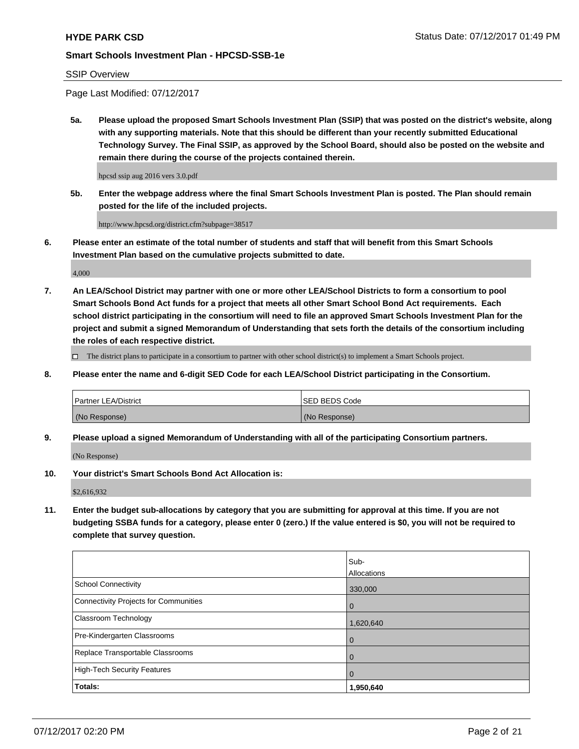# SSIP Overview

Page Last Modified: 07/12/2017

**5a. Please upload the proposed Smart Schools Investment Plan (SSIP) that was posted on the district's website, along with any supporting materials. Note that this should be different than your recently submitted Educational Technology Survey. The Final SSIP, as approved by the School Board, should also be posted on the website and remain there during the course of the projects contained therein.**

hpcsd ssip aug 2016 vers 3.0.pdf

**5b. Enter the webpage address where the final Smart Schools Investment Plan is posted. The Plan should remain posted for the life of the included projects.**

http://www.hpcsd.org/district.cfm?subpage=38517

**6. Please enter an estimate of the total number of students and staff that will benefit from this Smart Schools Investment Plan based on the cumulative projects submitted to date.**

4,000

**7. An LEA/School District may partner with one or more other LEA/School Districts to form a consortium to pool Smart Schools Bond Act funds for a project that meets all other Smart School Bond Act requirements. Each school district participating in the consortium will need to file an approved Smart Schools Investment Plan for the project and submit a signed Memorandum of Understanding that sets forth the details of the consortium including the roles of each respective district.**

 $\Box$  The district plans to participate in a consortium to partner with other school district(s) to implement a Smart Schools project.

**8. Please enter the name and 6-digit SED Code for each LEA/School District participating in the Consortium.**

| <b>Partner LEA/District</b> | <b>ISED BEDS Code</b> |
|-----------------------------|-----------------------|
| (No Response)               | (No Response)         |

**9. Please upload a signed Memorandum of Understanding with all of the participating Consortium partners.**

(No Response)

**10. Your district's Smart Schools Bond Act Allocation is:**

\$2,616,932

**11. Enter the budget sub-allocations by category that you are submitting for approval at this time. If you are not budgeting SSBA funds for a category, please enter 0 (zero.) If the value entered is \$0, you will not be required to complete that survey question.**

|                                       | Sub-        |
|---------------------------------------|-------------|
|                                       | Allocations |
| <b>School Connectivity</b>            | 330,000     |
| Connectivity Projects for Communities | 0           |
| <b>Classroom Technology</b>           | 1,620,640   |
| Pre-Kindergarten Classrooms           | 0           |
| Replace Transportable Classrooms      | 0           |
| <b>High-Tech Security Features</b>    | 0           |
| Totals:                               | 1,950,640   |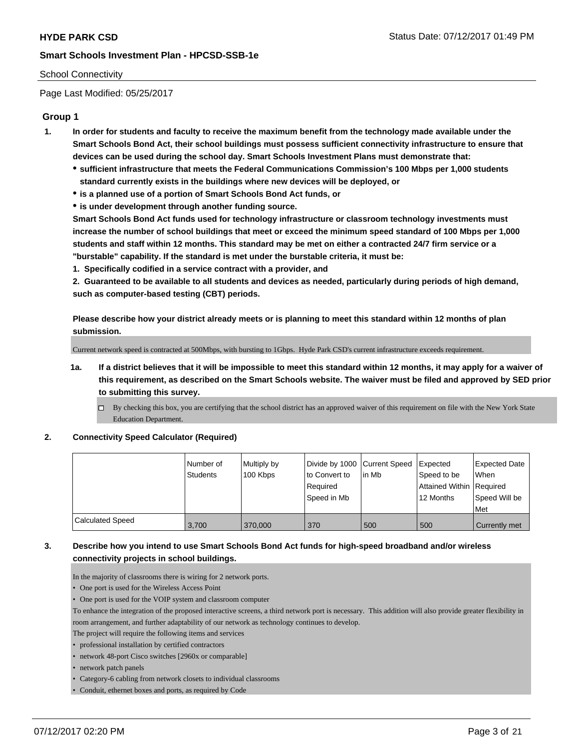#### School Connectivity

Page Last Modified: 05/25/2017

# **Group 1**

- **1. In order for students and faculty to receive the maximum benefit from the technology made available under the Smart Schools Bond Act, their school buildings must possess sufficient connectivity infrastructure to ensure that devices can be used during the school day. Smart Schools Investment Plans must demonstrate that:**
	- **sufficient infrastructure that meets the Federal Communications Commission's 100 Mbps per 1,000 students standard currently exists in the buildings where new devices will be deployed, or**
	- **is a planned use of a portion of Smart Schools Bond Act funds, or**
	- **is under development through another funding source.**

**Smart Schools Bond Act funds used for technology infrastructure or classroom technology investments must increase the number of school buildings that meet or exceed the minimum speed standard of 100 Mbps per 1,000 students and staff within 12 months. This standard may be met on either a contracted 24/7 firm service or a "burstable" capability. If the standard is met under the burstable criteria, it must be:**

**1. Specifically codified in a service contract with a provider, and**

**2. Guaranteed to be available to all students and devices as needed, particularly during periods of high demand, such as computer-based testing (CBT) periods.**

**Please describe how your district already meets or is planning to meet this standard within 12 months of plan submission.**

Current network speed is contracted at 500Mbps, with bursting to 1Gbps. Hyde Park CSD's current infrastructure exceeds requirement.

- **1a. If a district believes that it will be impossible to meet this standard within 12 months, it may apply for a waiver of this requirement, as described on the Smart Schools website. The waiver must be filed and approved by SED prior to submitting this survey.**
	- By checking this box, you are certifying that the school district has an approved waiver of this requirement on file with the New York State Education Department.

#### **2. Connectivity Speed Calculator (Required)**

|                         | Number of<br><b>Students</b> | Multiply by<br>100 Kbps | Divide by 1000   Current Speed<br>to Convert to<br>Required<br>l Speed in Mb | lin Mb | <b>Expected</b><br>Speed to be<br>Attained Within Required<br>12 Months | <b>Expected Date</b><br><b>When</b><br>Speed Will be<br>Met |
|-------------------------|------------------------------|-------------------------|------------------------------------------------------------------------------|--------|-------------------------------------------------------------------------|-------------------------------------------------------------|
| <b>Calculated Speed</b> | 3.700                        | 370,000                 | 370                                                                          | 500    | 500                                                                     | Currently met                                               |

# **3. Describe how you intend to use Smart Schools Bond Act funds for high-speed broadband and/or wireless connectivity projects in school buildings.**

In the majority of classrooms there is wiring for 2 network ports.

- One port is used for the Wireless Access Point
- One port is used for the VOIP system and classroom computer

To enhance the integration of the proposed interactive screens, a third network port is necessary. This addition will also provide greater flexibility in room arrangement, and further adaptability of our network as technology continues to develop.

The project will require the following items and services

- professional installation by certified contractors
- network 48-port Cisco switches [2960x or comparable]
- network patch panels
- Category-6 cabling from network closets to individual classrooms
- Conduit, ethernet boxes and ports, as required by Code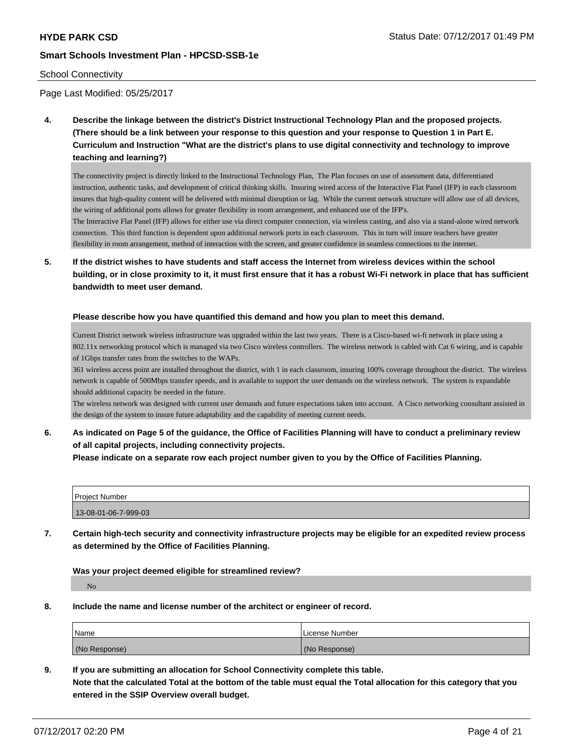#### School Connectivity

Page Last Modified: 05/25/2017

**4. Describe the linkage between the district's District Instructional Technology Plan and the proposed projects. (There should be a link between your response to this question and your response to Question 1 in Part E. Curriculum and Instruction "What are the district's plans to use digital connectivity and technology to improve teaching and learning?)**

The connectivity project is directly linked to the Instructional Technology Plan, The Plan focuses on use of assessment data, differentiated instruction, authentic tasks, and development of critical thinking skills. Insuring wired access of the Interactive Flat Panel (IFP) in each classroom insures that high-quality content will be delivered with minimal disruption or lag. While the current network structure will allow use of all devices, the wiring of additional ports allows for greater flexibility in room arrangement, and enhanced use of the IFP's.

The Interactive Flat Panel (IFP) allows for either use via direct computer connection, via wireless casting, and also via a stand-alone wired network connection. This third function is dependent upon additional network ports in each classroom. This in turn will insure teachers have greater flexibility in room arrangement, method of interaction with the screen, and greater confidence in seamless connections to the internet.

**5. If the district wishes to have students and staff access the Internet from wireless devices within the school building, or in close proximity to it, it must first ensure that it has a robust Wi-Fi network in place that has sufficient bandwidth to meet user demand.**

#### **Please describe how you have quantified this demand and how you plan to meet this demand.**

Current District network wireless infrastructure was upgraded within the last two years. There is a Cisco-based wi-fi network in place using a 802.11x networking protocol which is managed via two Cisco wireless controllers. The wireless network is cabled with Cat 6 wiring, and is capable of 1Gbps transfer rates from the switches to the WAPs.

361 wireless access point are installed throughout the district, with 1 in each classroom, insuring 100% coverage throughout the district. The wireless network is capable of 500Mbps transfer speeds, and is available to support the user demands on the wireless network. The system is expandable should additional capacity be needed in the future.

The wireless network was designed with current user demands and future expectations taken into account. A Cisco networking consultant assisted in the design of the system to insure future adaptability and the capability of meeting current needs.

**6. As indicated on Page 5 of the guidance, the Office of Facilities Planning will have to conduct a preliminary review of all capital projects, including connectivity projects.**

**Please indicate on a separate row each project number given to you by the Office of Facilities Planning.**

| Proiect Number       |  |
|----------------------|--|
| 13-08-01-06-7-999-03 |  |

**7. Certain high-tech security and connectivity infrastructure projects may be eligible for an expedited review process as determined by the Office of Facilities Planning.**

**Was your project deemed eligible for streamlined review?**

No

**8. Include the name and license number of the architect or engineer of record.**

| <b>Name</b>   | License Number |
|---------------|----------------|
| (No Response) | (No Response)  |

**9. If you are submitting an allocation for School Connectivity complete this table. Note that the calculated Total at the bottom of the table must equal the Total allocation for this category that you entered in the SSIP Overview overall budget.**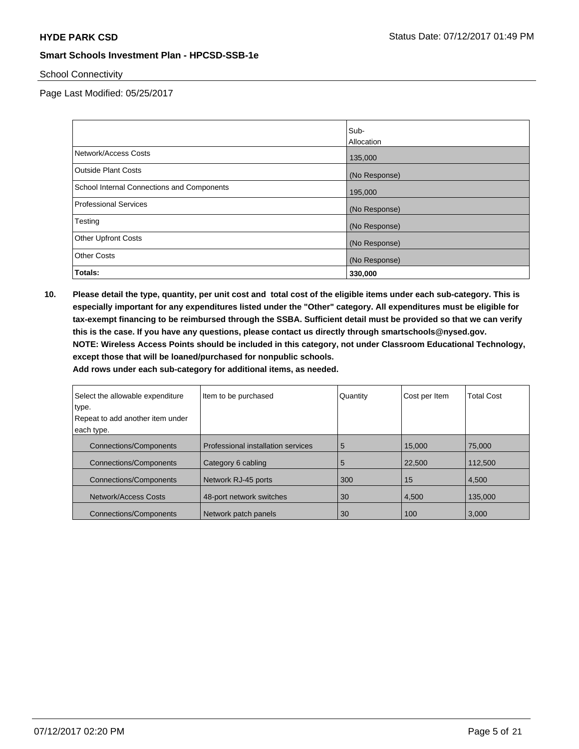School Connectivity

Page Last Modified: 05/25/2017

|                                            | Sub-          |
|--------------------------------------------|---------------|
|                                            | Allocation    |
| Network/Access Costs                       | 135,000       |
| <b>Outside Plant Costs</b>                 | (No Response) |
| School Internal Connections and Components | 195,000       |
| <b>Professional Services</b>               | (No Response) |
| Testing                                    | (No Response) |
| <b>Other Upfront Costs</b>                 | (No Response) |
| <b>Other Costs</b>                         | (No Response) |
| Totals:                                    | 330,000       |

**10. Please detail the type, quantity, per unit cost and total cost of the eligible items under each sub-category. This is especially important for any expenditures listed under the "Other" category. All expenditures must be eligible for tax-exempt financing to be reimbursed through the SSBA. Sufficient detail must be provided so that we can verify this is the case. If you have any questions, please contact us directly through smartschools@nysed.gov. NOTE: Wireless Access Points should be included in this category, not under Classroom Educational Technology, except those that will be loaned/purchased for nonpublic schools.**

| Select the allowable expenditure | Item to be purchased               | Quantity | Cost per Item | <b>Total Cost</b> |
|----------------------------------|------------------------------------|----------|---------------|-------------------|
| type.                            |                                    |          |               |                   |
| Repeat to add another item under |                                    |          |               |                   |
| each type.                       |                                    |          |               |                   |
| <b>Connections/Components</b>    | Professional installation services | 5        | 15,000        | 75.000            |
| <b>Connections/Components</b>    | Category 6 cabling                 | 5        | 22,500        | 112.500           |
| <b>Connections/Components</b>    | Network RJ-45 ports                | 300      | 15            | 4,500             |
| <b>Network/Access Costs</b>      | 48-port network switches           | 30       | 4.500         | 135,000           |
| <b>Connections/Components</b>    | Network patch panels               | 30       | 100           | 3,000             |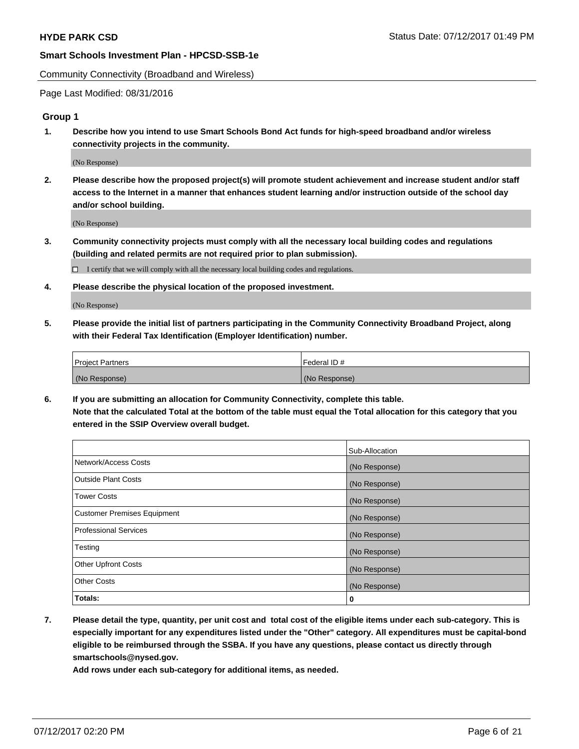Community Connectivity (Broadband and Wireless)

Page Last Modified: 08/31/2016

### **Group 1**

**1. Describe how you intend to use Smart Schools Bond Act funds for high-speed broadband and/or wireless connectivity projects in the community.**

(No Response)

**2. Please describe how the proposed project(s) will promote student achievement and increase student and/or staff access to the Internet in a manner that enhances student learning and/or instruction outside of the school day and/or school building.**

(No Response)

**3. Community connectivity projects must comply with all the necessary local building codes and regulations (building and related permits are not required prior to plan submission).**

 $\Box$  I certify that we will comply with all the necessary local building codes and regulations.

**4. Please describe the physical location of the proposed investment.**

(No Response)

**5. Please provide the initial list of partners participating in the Community Connectivity Broadband Project, along with their Federal Tax Identification (Employer Identification) number.**

| <b>Project Partners</b> | Federal ID#     |
|-------------------------|-----------------|
| (No Response)           | l (No Response) |

**6. If you are submitting an allocation for Community Connectivity, complete this table. Note that the calculated Total at the bottom of the table must equal the Total allocation for this category that you entered in the SSIP Overview overall budget.**

|                                    | Sub-Allocation |
|------------------------------------|----------------|
| Network/Access Costs               | (No Response)  |
| Outside Plant Costs                | (No Response)  |
| <b>Tower Costs</b>                 | (No Response)  |
| <b>Customer Premises Equipment</b> | (No Response)  |
| <b>Professional Services</b>       | (No Response)  |
| Testing                            | (No Response)  |
| <b>Other Upfront Costs</b>         | (No Response)  |
| <b>Other Costs</b>                 | (No Response)  |
| Totals:                            | 0              |

**7. Please detail the type, quantity, per unit cost and total cost of the eligible items under each sub-category. This is especially important for any expenditures listed under the "Other" category. All expenditures must be capital-bond eligible to be reimbursed through the SSBA. If you have any questions, please contact us directly through smartschools@nysed.gov.**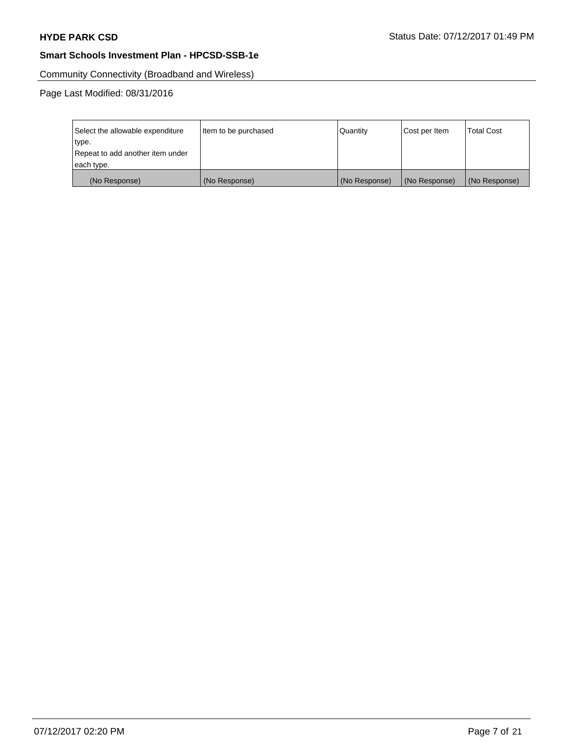Community Connectivity (Broadband and Wireless)

Page Last Modified: 08/31/2016

| Select the allowable expenditure | Item to be purchased | Quantity      | Cost per Item | <b>Total Cost</b> |
|----------------------------------|----------------------|---------------|---------------|-------------------|
| type.                            |                      |               |               |                   |
| Repeat to add another item under |                      |               |               |                   |
| each type.                       |                      |               |               |                   |
| (No Response)                    | (No Response)        | (No Response) | (No Response) | (No Response)     |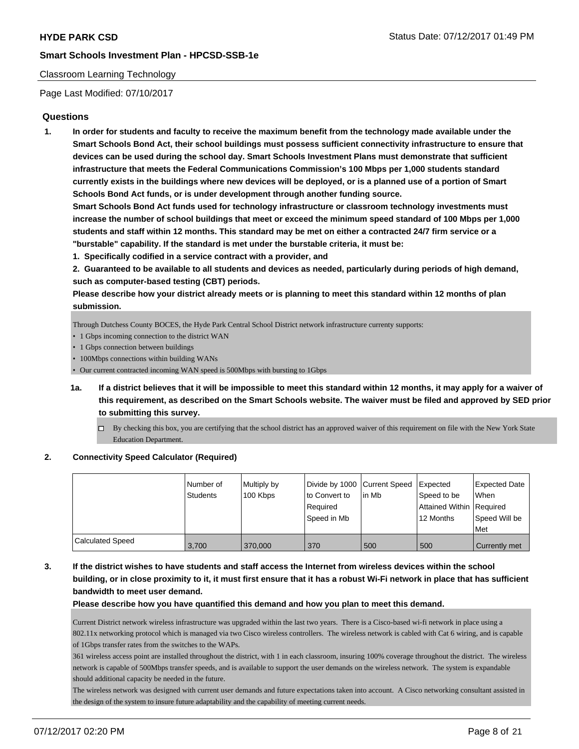#### Classroom Learning Technology

Page Last Modified: 07/10/2017

# **Questions**

**1. In order for students and faculty to receive the maximum benefit from the technology made available under the Smart Schools Bond Act, their school buildings must possess sufficient connectivity infrastructure to ensure that devices can be used during the school day. Smart Schools Investment Plans must demonstrate that sufficient infrastructure that meets the Federal Communications Commission's 100 Mbps per 1,000 students standard currently exists in the buildings where new devices will be deployed, or is a planned use of a portion of Smart Schools Bond Act funds, or is under development through another funding source.**

**Smart Schools Bond Act funds used for technology infrastructure or classroom technology investments must increase the number of school buildings that meet or exceed the minimum speed standard of 100 Mbps per 1,000 students and staff within 12 months. This standard may be met on either a contracted 24/7 firm service or a "burstable" capability. If the standard is met under the burstable criteria, it must be:**

- **1. Specifically codified in a service contract with a provider, and**
- **2. Guaranteed to be available to all students and devices as needed, particularly during periods of high demand, such as computer-based testing (CBT) periods.**

**Please describe how your district already meets or is planning to meet this standard within 12 months of plan submission.**

Through Dutchess County BOCES, the Hyde Park Central School District network infrastructure currenty supports:

- 1 Gbps incoming connection to the district WAN
- 1 Gbps connection between buildings
- 100Mbps connections within building WANs
- Our current contracted incoming WAN speed is 500Mbps with bursting to 1Gbps
- **1a. If a district believes that it will be impossible to meet this standard within 12 months, it may apply for a waiver of this requirement, as described on the Smart Schools website. The waiver must be filed and approved by SED prior to submitting this survey.**
	- $\Box$  By checking this box, you are certifying that the school district has an approved waiver of this requirement on file with the New York State Education Department.

#### **2. Connectivity Speed Calculator (Required)**

|                         | Number of<br>Students | Multiply by<br>100 Kbps | Divide by 1000 Current Speed<br>to Convert to<br>Required<br>Speed in Mb | lin Mb | Expected<br>Speed to be<br>Attained Within Required<br>12 Months | <b>Expected Date</b><br><b>When</b><br>Speed Will be<br>l Met |
|-------------------------|-----------------------|-------------------------|--------------------------------------------------------------------------|--------|------------------------------------------------------------------|---------------------------------------------------------------|
| <b>Calculated Speed</b> | 3.700                 | 370,000                 | 370                                                                      | 500    | 500                                                              | Currently met                                                 |

**3. If the district wishes to have students and staff access the Internet from wireless devices within the school building, or in close proximity to it, it must first ensure that it has a robust Wi-Fi network in place that has sufficient bandwidth to meet user demand.**

**Please describe how you have quantified this demand and how you plan to meet this demand.**

Current District network wireless infrastructure was upgraded within the last two years. There is a Cisco-based wi-fi network in place using a 802.11x networking protocol which is managed via two Cisco wireless controllers. The wireless network is cabled with Cat 6 wiring, and is capable of 1Gbps transfer rates from the switches to the WAPs.

361 wireless access point are installed throughout the district, with 1 in each classroom, insuring 100% coverage throughout the district. The wireless network is capable of 500Mbps transfer speeds, and is available to support the user demands on the wireless network. The system is expandable should additional capacity be needed in the future.

The wireless network was designed with current user demands and future expectations taken into account. A Cisco networking consultant assisted in the design of the system to insure future adaptability and the capability of meeting current needs.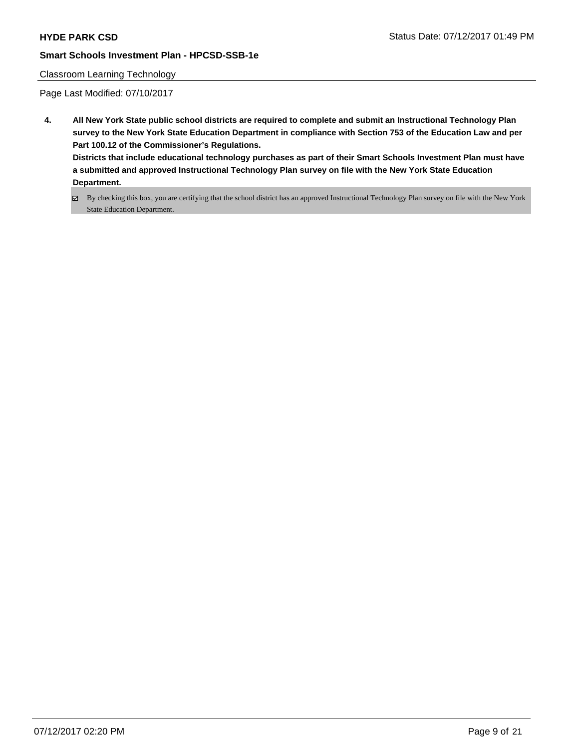# Classroom Learning Technology

Page Last Modified: 07/10/2017

- **4. All New York State public school districts are required to complete and submit an Instructional Technology Plan survey to the New York State Education Department in compliance with Section 753 of the Education Law and per Part 100.12 of the Commissioner's Regulations. Districts that include educational technology purchases as part of their Smart Schools Investment Plan must have a submitted and approved Instructional Technology Plan survey on file with the New York State Education Department.**
	- By checking this box, you are certifying that the school district has an approved Instructional Technology Plan survey on file with the New York State Education Department.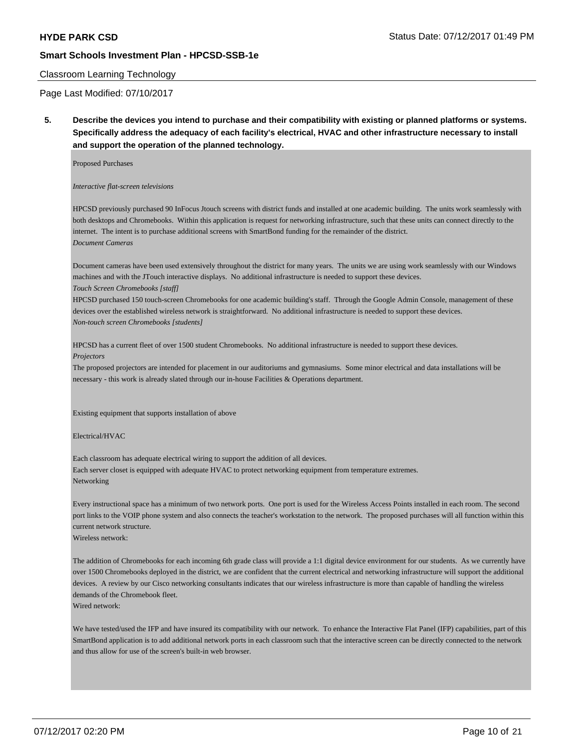#### Classroom Learning Technology

Page Last Modified: 07/10/2017

**5. Describe the devices you intend to purchase and their compatibility with existing or planned platforms or systems. Specifically address the adequacy of each facility's electrical, HVAC and other infrastructure necessary to install and support the operation of the planned technology.**

Proposed Purchases

*Interactive flat-screen televisions*

HPCSD previously purchased 90 InFocus Jtouch screens with district funds and installed at one academic building. The units work seamlessly with both desktops and Chromebooks. Within this application is request for networking infrastructure, such that these units can connect directly to the internet. The intent is to purchase additional screens with SmartBond funding for the remainder of the district. *Document Cameras*

Document cameras have been used extensively throughout the district for many years. The units we are using work seamlessly with our Windows machines and with the JTouch interactive displays. No additional infrastructure is needed to support these devices. *Touch Screen Chromebooks [staff]*

HPCSD purchased 150 touch-screen Chromebooks for one academic building's staff. Through the Google Admin Console, management of these devices over the established wireless network is straightforward. No additional infrastructure is needed to support these devices. *Non-touch screen Chromebooks [students]*

HPCSD has a current fleet of over 1500 student Chromebooks. No additional infrastructure is needed to support these devices. *Projectors*

The proposed projectors are intended for placement in our auditoriums and gymnasiums. Some minor electrical and data installations will be necessary - this work is already slated through our in-house Facilities & Operations department.

Existing equipment that supports installation of above

Electrical/HVAC

Each classroom has adequate electrical wiring to support the addition of all devices. Each server closet is equipped with adequate HVAC to protect networking equipment from temperature extremes. **Networking** 

Every instructional space has a minimum of two network ports. One port is used for the Wireless Access Points installed in each room. The second port links to the VOIP phone system and also connects the teacher's workstation to the network. The proposed purchases will all function within this current network structure.

Wireless network:

The addition of Chromebooks for each incoming 6th grade class will provide a 1:1 digital device environment for our students. As we currently have over 1500 Chromebooks deployed in the district, we are confident that the current electrical and networking infrastructure will support the additional devices. A review by our Cisco networking consultants indicates that our wireless infrastructure is more than capable of handling the wireless demands of the Chromebook fleet.

Wired network:

We have tested/used the IFP and have insured its compatibility with our network. To enhance the Interactive Flat Panel (IFP) capabilities, part of this SmartBond application is to add additional network ports in each classroom such that the interactive screen can be directly connected to the network and thus allow for use of the screen's built-in web browser.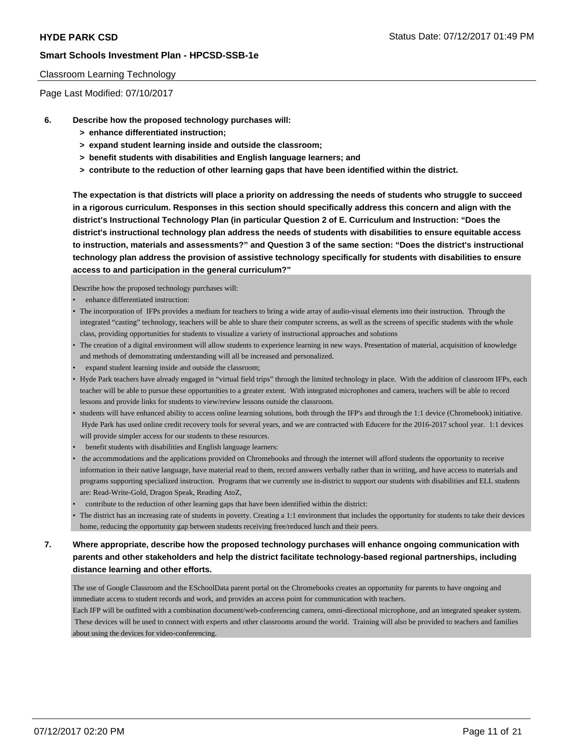#### Classroom Learning Technology

Page Last Modified: 07/10/2017

- **6. Describe how the proposed technology purchases will:**
	- **> enhance differentiated instruction;**
	- **> expand student learning inside and outside the classroom;**
	- **> benefit students with disabilities and English language learners; and**
	- **> contribute to the reduction of other learning gaps that have been identified within the district.**

**The expectation is that districts will place a priority on addressing the needs of students who struggle to succeed in a rigorous curriculum. Responses in this section should specifically address this concern and align with the district's Instructional Technology Plan (in particular Question 2 of E. Curriculum and Instruction: "Does the district's instructional technology plan address the needs of students with disabilities to ensure equitable access to instruction, materials and assessments?" and Question 3 of the same section: "Does the district's instructional technology plan address the provision of assistive technology specifically for students with disabilities to ensure access to and participation in the general curriculum?"**

Describe how the proposed technology purchases will:

- enhance differentiated instruction:
- The incorporation of IFPs provides a medium for teachers to bring a wide array of audio-visual elements into their instruction. Through the integrated "casting" technology, teachers will be able to share their computer screens, as well as the screens of specific students with the whole class, providing opportunities for students to visualize a variety of instructional approaches and solutions
- The creation of a digital environment will allow students to experience learning in new ways. Presentation of material, acquisition of knowledge and methods of demonstrating understanding will all be increased and personalized.
- expand student learning inside and outside the classroom;
- Hyde Park teachers have already engaged in "virtual field trips" through the limited technology in place. With the addition of classroom IFPs, each teacher will be able to pursue these opportunities to a greater extent. With integrated microphones and camera, teachers will be able to record lessons and provide links for students to view/review lessons outside the classroom.
- students will have enhanced ability to access online learning solutions, both through the IFP's and through the 1:1 device (Chromebook) initiative. Hyde Park has used online credit recovery tools for several years, and we are contracted with Educere for the 2016-2017 school year. 1:1 devices will provide simpler access for our students to these resources.
- benefit students with disabilities and English language learners:
- the accommodations and the applications provided on Chromebooks and through the internet will afford students the opportunity to receive information in their native language, have material read to them, record answers verbally rather than in writing, and have access to materials and programs supporting specialized instruction. Programs that we currently use in-district to support our students with disabilities and ELL students are: Read-Write-Gold, Dragon Speak, Reading AtoZ,
- contribute to the reduction of other learning gaps that have been identified within the district:
- The district has an increasing rate of students in poverty. Creating a 1:1 environment that includes the opportunity for students to take their devices home, reducing the opportunity gap between students receiving free/reduced lunch and their peers.
- **7. Where appropriate, describe how the proposed technology purchases will enhance ongoing communication with parents and other stakeholders and help the district facilitate technology-based regional partnerships, including distance learning and other efforts.**

The use of Google Classroom and the ESchoolData parent portal on the Chromebooks creates an opportunity for parents to have ongoing and immediate access to student records and work, and provides an access point for communication with teachers.

Each IFP will be outfitted with a combination document/web-conferencing camera, omni-directional microphone, and an integrated speaker system. These devices will be used to connect with experts and other classrooms around the world. Training will also be provided to teachers and families about using the devices for video-conferencing.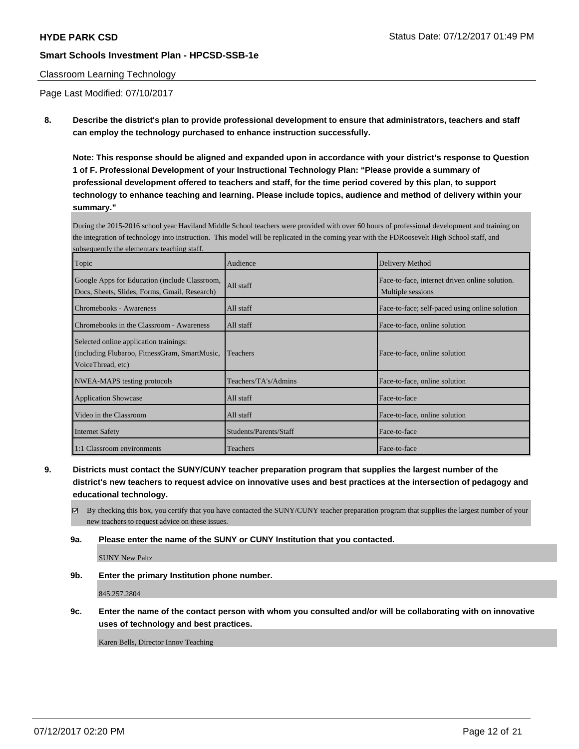#### Classroom Learning Technology

Page Last Modified: 07/10/2017

**8. Describe the district's plan to provide professional development to ensure that administrators, teachers and staff can employ the technology purchased to enhance instruction successfully.**

**Note: This response should be aligned and expanded upon in accordance with your district's response to Question 1 of F. Professional Development of your Instructional Technology Plan: "Please provide a summary of professional development offered to teachers and staff, for the time period covered by this plan, to support technology to enhance teaching and learning. Please include topics, audience and method of delivery within your summary."**

During the 2015-2016 school year Haviland Middle School teachers were provided with over 60 hours of professional development and training on the integration of technology into instruction. This model will be replicated in the coming year with the FDRoosevelt High School staff, and subsequently the elementary teaching staff.

| Topic                                                                                                        | Audience               | Delivery Method                                                     |
|--------------------------------------------------------------------------------------------------------------|------------------------|---------------------------------------------------------------------|
| Google Apps for Education (include Classroom,<br>Docs, Sheets, Slides, Forms, Gmail, Research)               | All staff              | Face-to-face, internet driven online solution.<br>Multiple sessions |
| Chromebooks - Awareness                                                                                      | All staff              | Face-to-face; self-paced using online solution                      |
| Chromebooks in the Classroom - Awareness                                                                     | All staff              | Face-to-face, online solution                                       |
| Selected online application trainings:<br>(including Flubaroo, FitnessGram, SmartMusic,<br>VoiceThread, etc) | Teachers               | Face-to-face, online solution                                       |
| <b>NWEA-MAPS</b> testing protocols                                                                           | Teachers/TA's/Admins   | Face-to-face, online solution                                       |
| <b>Application Showcase</b>                                                                                  | All staff              | Face-to-face                                                        |
| Video in the Classroom                                                                                       | All staff              | Face-to-face, online solution                                       |
| <b>Internet Safety</b>                                                                                       | Students/Parents/Staff | Face-to-face                                                        |
| 1:1 Classroom environments                                                                                   | Teachers               | Face-to-face                                                        |

**9. Districts must contact the SUNY/CUNY teacher preparation program that supplies the largest number of the district's new teachers to request advice on innovative uses and best practices at the intersection of pedagogy and educational technology.**

By checking this box, you certify that you have contacted the SUNY/CUNY teacher preparation program that supplies the largest number of your new teachers to request advice on these issues.

#### **9a. Please enter the name of the SUNY or CUNY Institution that you contacted.**

SUNY New Paltz

**9b. Enter the primary Institution phone number.**

845.257.2804

**9c. Enter the name of the contact person with whom you consulted and/or will be collaborating with on innovative uses of technology and best practices.**

Karen Bells, Director Innov Teaching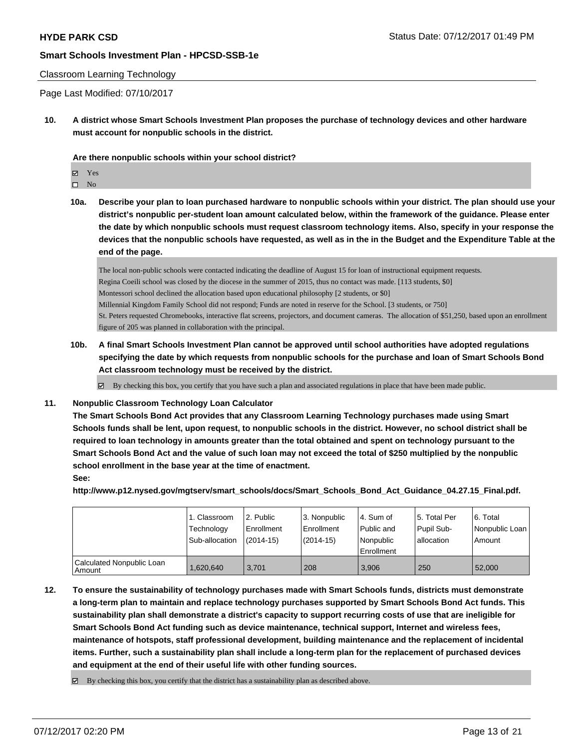#### Classroom Learning Technology

Page Last Modified: 07/10/2017

**10. A district whose Smart Schools Investment Plan proposes the purchase of technology devices and other hardware must account for nonpublic schools in the district.**

**Are there nonpublic schools within your school district?**

Yes

 $\hfill \square$  No

**10a. Describe your plan to loan purchased hardware to nonpublic schools within your district. The plan should use your district's nonpublic per-student loan amount calculated below, within the framework of the guidance. Please enter the date by which nonpublic schools must request classroom technology items. Also, specify in your response the devices that the nonpublic schools have requested, as well as in the in the Budget and the Expenditure Table at the end of the page.**

The local non-public schools were contacted indicating the deadline of August 15 for loan of instructional equipment requests. Regina Coeili school was closed by the diocese in the summer of 2015, thus no contact was made. [113 students, \$0] Montessori school declined the allocation based upon educational philosophy [2 students, or \$0] Millennial Kingdom Family School did not respond; Funds are noted in reserve for the School. [3 students, or 750] St. Peters requested Chromebooks, interactive flat screens, projectors, and document cameras. The allocation of \$51,250, based upon an enrollment figure of 205 was planned in collaboration with the principal.

- **10b. A final Smart Schools Investment Plan cannot be approved until school authorities have adopted regulations specifying the date by which requests from nonpublic schools for the purchase and loan of Smart Schools Bond Act classroom technology must be received by the district.**
	- By checking this box, you certify that you have such a plan and associated regulations in place that have been made public.

#### **11. Nonpublic Classroom Technology Loan Calculator**

**The Smart Schools Bond Act provides that any Classroom Learning Technology purchases made using Smart Schools funds shall be lent, upon request, to nonpublic schools in the district. However, no school district shall be required to loan technology in amounts greater than the total obtained and spent on technology pursuant to the Smart Schools Bond Act and the value of such loan may not exceed the total of \$250 multiplied by the nonpublic school enrollment in the base year at the time of enactment. See:**

**http://www.p12.nysed.gov/mgtserv/smart\_schools/docs/Smart\_Schools\_Bond\_Act\_Guidance\_04.27.15\_Final.pdf.**

|                                       | 1. Classroom<br>Technology<br>Sub-allocation | 12. Public<br>Enrollment<br>$(2014-15)$ | 3. Nonpublic<br>Enrollment<br>$(2014-15)$ | l 4. Sum of<br>Public and<br>l Nonpublic<br>Enrollment | 15. Total Per<br>Pupil Sub-<br>lallocation | 6. Total<br>Nonpublic Loan<br>Amount |
|---------------------------------------|----------------------------------------------|-----------------------------------------|-------------------------------------------|--------------------------------------------------------|--------------------------------------------|--------------------------------------|
| Calculated Nonpublic Loan<br>l Amount | 1.620.640                                    | 3.701                                   | 208                                       | 3.906                                                  | 250                                        | 52,000                               |

**12. To ensure the sustainability of technology purchases made with Smart Schools funds, districts must demonstrate a long-term plan to maintain and replace technology purchases supported by Smart Schools Bond Act funds. This sustainability plan shall demonstrate a district's capacity to support recurring costs of use that are ineligible for Smart Schools Bond Act funding such as device maintenance, technical support, Internet and wireless fees, maintenance of hotspots, staff professional development, building maintenance and the replacement of incidental items. Further, such a sustainability plan shall include a long-term plan for the replacement of purchased devices and equipment at the end of their useful life with other funding sources.**

By checking this box, you certify that the district has a sustainability plan as described above.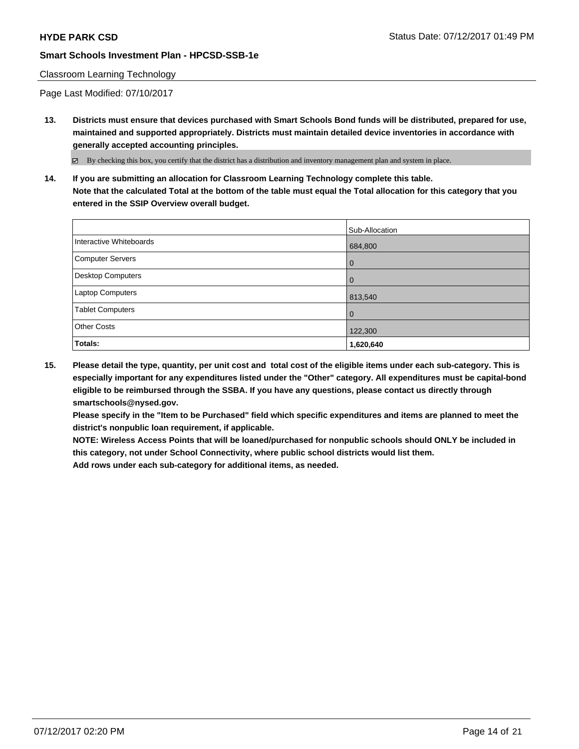#### Classroom Learning Technology

Page Last Modified: 07/10/2017

**13. Districts must ensure that devices purchased with Smart Schools Bond funds will be distributed, prepared for use, maintained and supported appropriately. Districts must maintain detailed device inventories in accordance with generally accepted accounting principles.**

By checking this box, you certify that the district has a distribution and inventory management plan and system in place.

**14. If you are submitting an allocation for Classroom Learning Technology complete this table. Note that the calculated Total at the bottom of the table must equal the Total allocation for this category that you entered in the SSIP Overview overall budget.**

|                          | Sub-Allocation |
|--------------------------|----------------|
| Interactive Whiteboards  | 684,800        |
| Computer Servers         | $\overline{0}$ |
| <b>Desktop Computers</b> | $\overline{0}$ |
| <b>Laptop Computers</b>  | 813,540        |
| <b>Tablet Computers</b>  | $\overline{0}$ |
| <b>Other Costs</b>       | 122,300        |
| Totals:                  | 1,620,640      |

**15. Please detail the type, quantity, per unit cost and total cost of the eligible items under each sub-category. This is especially important for any expenditures listed under the "Other" category. All expenditures must be capital-bond eligible to be reimbursed through the SSBA. If you have any questions, please contact us directly through smartschools@nysed.gov.**

**Please specify in the "Item to be Purchased" field which specific expenditures and items are planned to meet the district's nonpublic loan requirement, if applicable.**

**NOTE: Wireless Access Points that will be loaned/purchased for nonpublic schools should ONLY be included in this category, not under School Connectivity, where public school districts would list them.**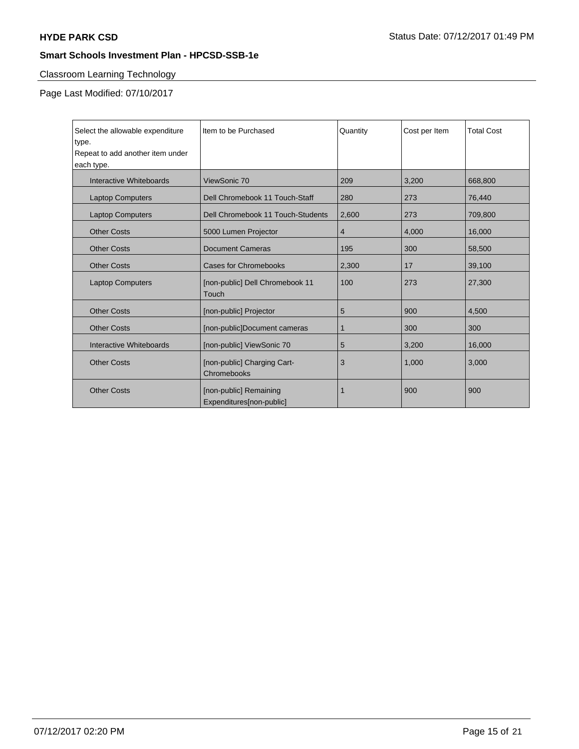# Classroom Learning Technology

Page Last Modified: 07/10/2017

| Select the allowable expenditure<br>type.<br>Repeat to add another item under<br>each type. | Item to be Purchased                               | Quantity       | Cost per Item | <b>Total Cost</b> |
|---------------------------------------------------------------------------------------------|----------------------------------------------------|----------------|---------------|-------------------|
| Interactive Whiteboards                                                                     | ViewSonic 70                                       | 209            | 3,200         | 668,800           |
| <b>Laptop Computers</b>                                                                     | Dell Chromebook 11 Touch-Staff                     | 280            | 273           | 76,440            |
| <b>Laptop Computers</b>                                                                     | Dell Chromebook 11 Touch-Students                  | 2,600          | 273           | 709,800           |
| <b>Other Costs</b>                                                                          | 5000 Lumen Projector                               | $\overline{4}$ | 4,000         | 16,000            |
| <b>Other Costs</b>                                                                          | <b>Document Cameras</b>                            | 195            | 300           | 58,500            |
| <b>Other Costs</b>                                                                          | <b>Cases for Chromebooks</b>                       | 2,300          | 17            | 39,100            |
| <b>Laptop Computers</b>                                                                     | [non-public] Dell Chromebook 11<br>Touch           | 100            | 273           | 27,300            |
| <b>Other Costs</b>                                                                          | [non-public] Projector                             | 5              | 900           | 4,500             |
| <b>Other Costs</b>                                                                          | [non-public]Document cameras                       | 1              | 300           | 300               |
| Interactive Whiteboards                                                                     | [non-public] ViewSonic 70                          | 5              | 3,200         | 16,000            |
| <b>Other Costs</b>                                                                          | [non-public] Charging Cart-<br>Chromebooks         | 3              | 1,000         | 3,000             |
| <b>Other Costs</b>                                                                          | [non-public] Remaining<br>Expenditures[non-public] |                | 900           | 900               |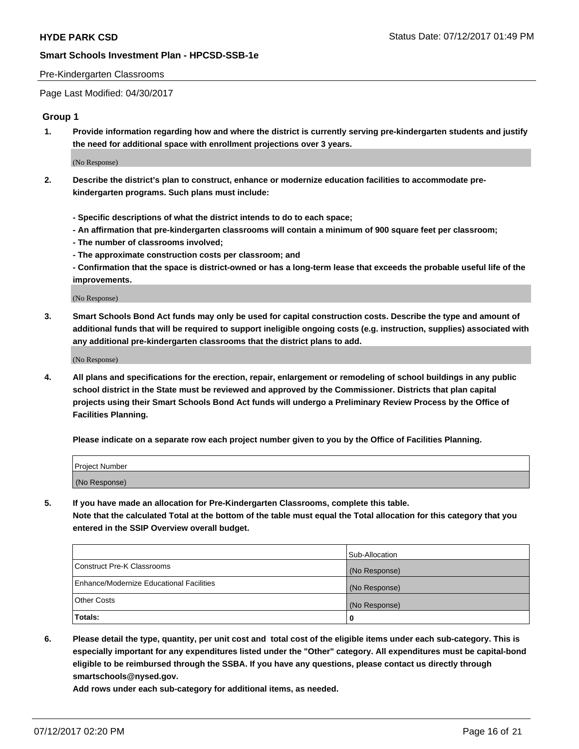#### Pre-Kindergarten Classrooms

Page Last Modified: 04/30/2017

#### **Group 1**

**1. Provide information regarding how and where the district is currently serving pre-kindergarten students and justify the need for additional space with enrollment projections over 3 years.**

(No Response)

- **2. Describe the district's plan to construct, enhance or modernize education facilities to accommodate prekindergarten programs. Such plans must include:**
	- **Specific descriptions of what the district intends to do to each space;**
	- **An affirmation that pre-kindergarten classrooms will contain a minimum of 900 square feet per classroom;**
	- **The number of classrooms involved;**
	- **The approximate construction costs per classroom; and**
	- **Confirmation that the space is district-owned or has a long-term lease that exceeds the probable useful life of the improvements.**

(No Response)

**3. Smart Schools Bond Act funds may only be used for capital construction costs. Describe the type and amount of additional funds that will be required to support ineligible ongoing costs (e.g. instruction, supplies) associated with any additional pre-kindergarten classrooms that the district plans to add.**

(No Response)

**4. All plans and specifications for the erection, repair, enlargement or remodeling of school buildings in any public school district in the State must be reviewed and approved by the Commissioner. Districts that plan capital projects using their Smart Schools Bond Act funds will undergo a Preliminary Review Process by the Office of Facilities Planning.**

**Please indicate on a separate row each project number given to you by the Office of Facilities Planning.**

| Project Number |  |
|----------------|--|
| (No Response)  |  |

**5. If you have made an allocation for Pre-Kindergarten Classrooms, complete this table. Note that the calculated Total at the bottom of the table must equal the Total allocation for this category that you entered in the SSIP Overview overall budget.**

| Totals:                                  | 0              |
|------------------------------------------|----------------|
| Other Costs                              | (No Response)  |
| Enhance/Modernize Educational Facilities | (No Response)  |
| Construct Pre-K Classrooms               | (No Response)  |
|                                          | Sub-Allocation |

**6. Please detail the type, quantity, per unit cost and total cost of the eligible items under each sub-category. This is especially important for any expenditures listed under the "Other" category. All expenditures must be capital-bond eligible to be reimbursed through the SSBA. If you have any questions, please contact us directly through smartschools@nysed.gov.**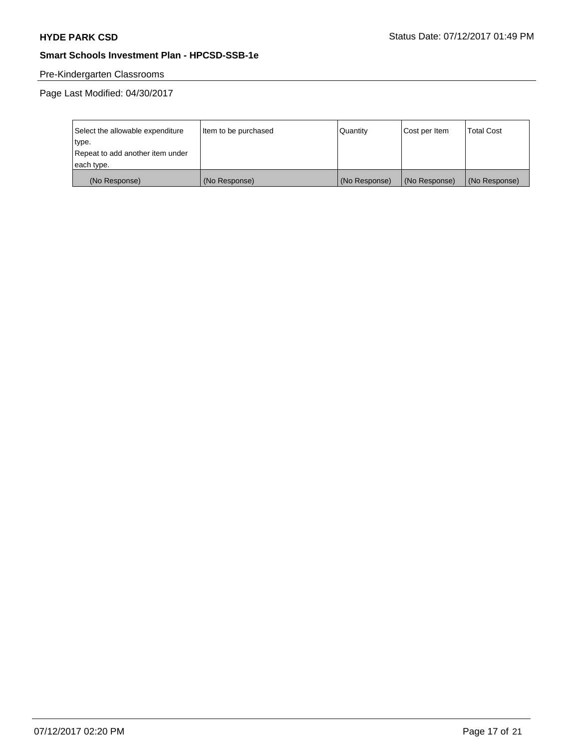# Pre-Kindergarten Classrooms

Page Last Modified: 04/30/2017

| Select the allowable expenditure | Item to be purchased | Quantity      | Cost per Item | <b>Total Cost</b> |
|----------------------------------|----------------------|---------------|---------------|-------------------|
| type.                            |                      |               |               |                   |
| Repeat to add another item under |                      |               |               |                   |
| each type.                       |                      |               |               |                   |
| (No Response)                    | (No Response)        | (No Response) | (No Response) | (No Response)     |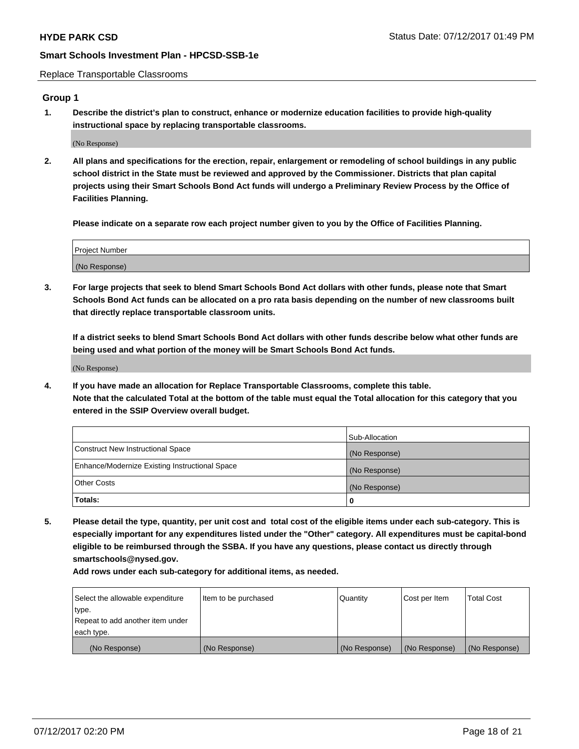Replace Transportable Classrooms

# **Group 1**

**1. Describe the district's plan to construct, enhance or modernize education facilities to provide high-quality instructional space by replacing transportable classrooms.**

(No Response)

**2. All plans and specifications for the erection, repair, enlargement or remodeling of school buildings in any public school district in the State must be reviewed and approved by the Commissioner. Districts that plan capital projects using their Smart Schools Bond Act funds will undergo a Preliminary Review Process by the Office of Facilities Planning.**

**Please indicate on a separate row each project number given to you by the Office of Facilities Planning.**

| Project Number |  |
|----------------|--|
| (No Response)  |  |

**3. For large projects that seek to blend Smart Schools Bond Act dollars with other funds, please note that Smart Schools Bond Act funds can be allocated on a pro rata basis depending on the number of new classrooms built that directly replace transportable classroom units.**

**If a district seeks to blend Smart Schools Bond Act dollars with other funds describe below what other funds are being used and what portion of the money will be Smart Schools Bond Act funds.**

(No Response)

**4. If you have made an allocation for Replace Transportable Classrooms, complete this table. Note that the calculated Total at the bottom of the table must equal the Total allocation for this category that you entered in the SSIP Overview overall budget.**

|                                                | Sub-Allocation |
|------------------------------------------------|----------------|
| Construct New Instructional Space              | (No Response)  |
| Enhance/Modernize Existing Instructional Space | (No Response)  |
| Other Costs                                    | (No Response)  |
| Totals:                                        | 0              |

**5. Please detail the type, quantity, per unit cost and total cost of the eligible items under each sub-category. This is especially important for any expenditures listed under the "Other" category. All expenditures must be capital-bond eligible to be reimbursed through the SSBA. If you have any questions, please contact us directly through smartschools@nysed.gov.**

| Select the allowable expenditure | lltem to be purchased | Quantity      | Cost per Item | <b>Total Cost</b> |
|----------------------------------|-----------------------|---------------|---------------|-------------------|
| type.                            |                       |               |               |                   |
| Repeat to add another item under |                       |               |               |                   |
| each type.                       |                       |               |               |                   |
| (No Response)                    | (No Response)         | (No Response) | (No Response) | (No Response)     |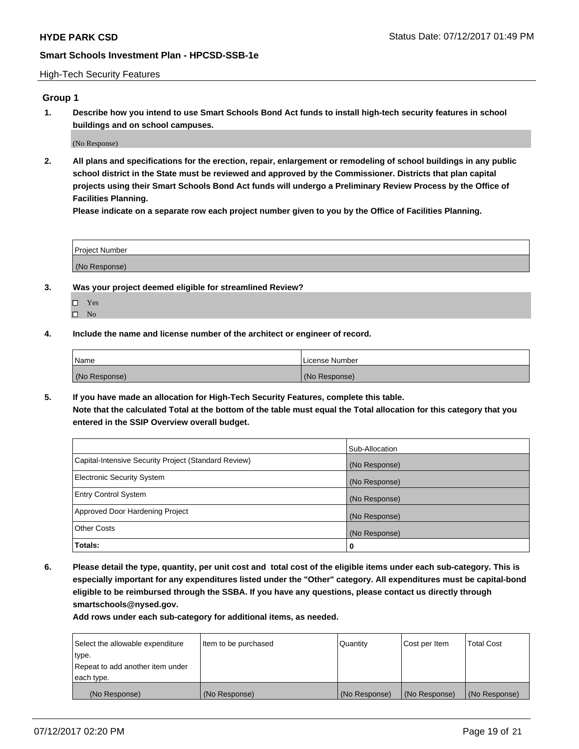#### High-Tech Security Features

# **Group 1**

**1. Describe how you intend to use Smart Schools Bond Act funds to install high-tech security features in school buildings and on school campuses.**

(No Response)

**2. All plans and specifications for the erection, repair, enlargement or remodeling of school buildings in any public school district in the State must be reviewed and approved by the Commissioner. Districts that plan capital projects using their Smart Schools Bond Act funds will undergo a Preliminary Review Process by the Office of Facilities Planning.** 

**Please indicate on a separate row each project number given to you by the Office of Facilities Planning.**

| <b>Project Number</b> |  |
|-----------------------|--|
| (No Response)         |  |

- **3. Was your project deemed eligible for streamlined Review?**
	- Yes  $\square$  No
- **4. Include the name and license number of the architect or engineer of record.**

| <b>Name</b>   | License Number |
|---------------|----------------|
| (No Response) | (No Response)  |

**5. If you have made an allocation for High-Tech Security Features, complete this table. Note that the calculated Total at the bottom of the table must equal the Total allocation for this category that you entered in the SSIP Overview overall budget.**

|                                                      | Sub-Allocation |
|------------------------------------------------------|----------------|
| Capital-Intensive Security Project (Standard Review) | (No Response)  |
| <b>Electronic Security System</b>                    | (No Response)  |
| <b>Entry Control System</b>                          | (No Response)  |
| Approved Door Hardening Project                      | (No Response)  |
| <b>Other Costs</b>                                   | (No Response)  |
| Totals:                                              | 0              |

**6. Please detail the type, quantity, per unit cost and total cost of the eligible items under each sub-category. This is especially important for any expenditures listed under the "Other" category. All expenditures must be capital-bond eligible to be reimbursed through the SSBA. If you have any questions, please contact us directly through smartschools@nysed.gov.**

| Select the allowable expenditure | Item to be purchased | Quantity      | Cost per Item | <b>Total Cost</b> |
|----------------------------------|----------------------|---------------|---------------|-------------------|
| type.                            |                      |               |               |                   |
| Repeat to add another item under |                      |               |               |                   |
| each type.                       |                      |               |               |                   |
| (No Response)                    | (No Response)        | (No Response) | (No Response) | (No Response)     |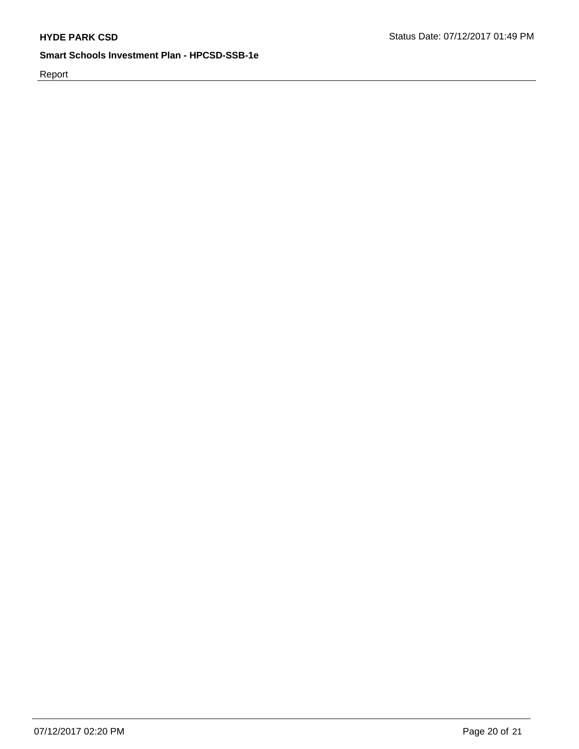Report